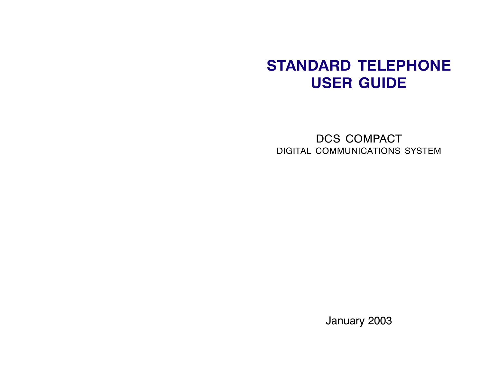# **STANDARD TELEPHONE USER GUIDE**

DCS COMPACT DIGITAL COMMUNICATIONS SYSTEM

January 2003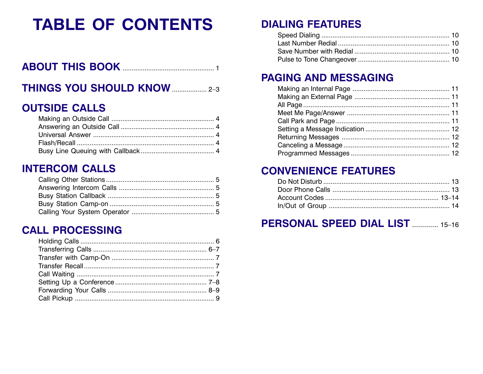# **TABLE OF CONTENTS**

#### 

#### **OUTSIDE CALLS**

#### **INTERCOM CALLS**

#### **CALL PROCESSING**

#### **DIALING FEATURES**

#### **PAGING AND MESSAGING**

#### **CONVENIENCE FEATURES**

#### PERSONAL SPEED DIAL LIST ............. 15-16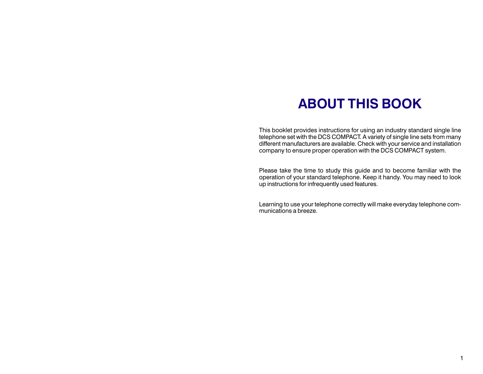#### **ABOUT THIS BOOK**

This booklet provides instructions for using an industry standard single line telephone set with the DCS COMPACT. A variety of single line sets from many different manufacturers are available. Check with your service and installation company to ensure proper operation with the DCS COMPACT system.

Please take the time to study this guide and to become familiar with the operation of your standard telephone. Keep it handy. You may need to look up instructions for infrequently used features.

Learning to use your telephone correctly will make everyday telephone communications a breeze.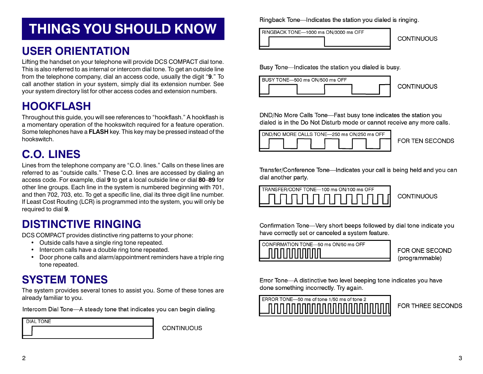# **THINGS YOU SHOULD KNOW**

#### **USER ORIENTATION**

Lifting the handset on your telephone will provide DCS COMPACT dial tone. This is also referred to as internal or intercom dial tone. To get an outside line from the telephone company, dial an access code, usually the digit " **9**." To call another station in your system, simply dial its extension number. See your system directory list for other access codes and extension numbers.

#### **HOOKFLASH**

Throughout this guide, you will see references to "hookflash." A hookflash is a momentary operation of the hookswitch required for a feature operation. Some telephones have a **FLASH** key. This key may be pressed instead of the hookswitch.

#### **C.O. LINES**

Lines from the telephone company are "C.O. lines." Calls on these lines are referred to as "outside calls." These C.O. lines are accessed by dialing an access code. For example, dial **9** to get a local outside line or dial **80** –**89** for other line groups. Each line in the system is numbered beginning with 701, and then 702, 703, etc. To get a specific line, dial its three digit line number. If Least Cost Routing (LCR) is programmed into the system, you will only be required to dial **9**.

#### **DISTINCTIVE RINGING**

DCS COMPACT provides distinctive ring patterns to your phone:

- Outside calls have a single ring tone repeated.
- •Intercom calls have a double ring tone repeated.
- Door phone calls and alarm/appointment reminders have a triple ring tone repeated.

#### **SYSTEM TONES**

The system provides several tones to assist you. Some of these tones are already familiar to you.

Intercom Dial Tone-A steady tone that indicates you can begin dialing.

**DIAL TONE** 

**CONTINUOUS** 

Ringback Tone—Indicates the station you dialed is ringing.



**CONTINUOUS** 

Busy Tone-Indicates the station you dialed is busy.



DND/No More Calls Tone—Fast busy tone indicates the station you dialed is in the Do Not Disturb mode or cannot receive any more calls.

| DND/NO MORE CALLS TONE-250 ms ON/250 ms OFF |  |  |  |  |  |
|---------------------------------------------|--|--|--|--|--|
|                                             |  |  |  |  |  |

OR TEN SECONDS

Transfer/Conference Tone—Indicates your call is being held and you can dial another party.

TRANSFER/CONF TONE-100 ms ON/100 ms OFF

**CONTINUOUS** 

Confirmation Tone-Very short beeps followed by dial tone indicate you have correctly set or canceled a system feature.



FOR ONE SECOND (programmable)

Error Tone—A distinctive two level beeping tone indicates you have done something incorrectly. Try again.



FOR THREE SECONDS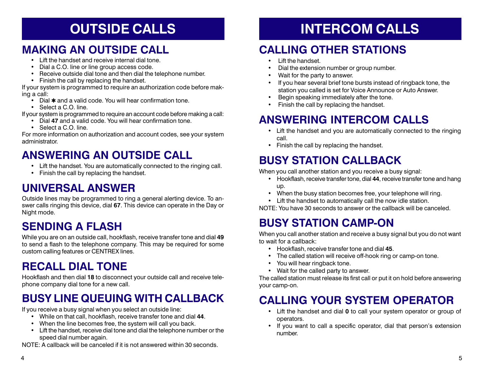# **OUTSIDE CALLS**

#### **MAKING AN OUTSIDE CALL**

- Lift the handset and receive internal dial tone.
- Dial a C.O. line or line group access code.
- Receive outside dial tone and then dial the telephone number.
- Finish the call by replacing the handset.

If your system is programmed to require an authorization code before making a call:

- Dial  $*$  and a valid code. You will hear confirmation tone.
- Select a C.O. line.

If your system is programmed to require an account code before making a call:

- Dial **47** and a valid code. You will hear confirmation tone.
- Select a C.O. line.

For more information on authorization and account codes, see your system administrator.

## **ANSWERING AN OUTSIDE CALL**

- Lift the handset. You are automatically connected to the ringing call.
- Finish the call by replacing the handset.

#### **UNIVERSAL ANSWER**

Outside lines may be programmed to ring a general alerting device. To answer calls ringing this device, dial **67**. This device can operate in the Day or Night mode.

#### **SENDING A FLASH**

While you are on an outside call, hookflash, receive transfer tone and dial **49** to send a flash to the telephone company. This may be required for some custom calling features or CENTREX lines.

#### **RECALL DIAL TONE**

Hookflash and then dial **18** to disconnect your outside call and receive telephone company dial tone for a new call.

#### **BUSY LINE QUEUING WITH CALLBACK**

If you receive a busy signal when you select an outside line:

- While on that call, hookflash, receive transfer tone and dial **44**.
- When the line becomes free, the system will call you back.
- Lift the handset, receive dial tone and dial the telephone number or the speed dial number again.

NOTE: A callback will be canceled if it is not answered within 30 seconds.

# **INTERCOM CALLS**

## **CALLING OTHER STATIONS**

- •Lift the handset.
- •Dial the extension number or group number.
- •Wait for the party to answer.
- • If you hear several brief tone bursts instead of ringback tone, the station you called is set for Voice Announce or Auto Answer.
- •Begin speaking immediately after the tone.
- •Finish the call by replacing the handset.

#### **ANSWERING INTERCOM CALLS**

- Lift the handset and you are automatically connected to the ringing call.
- Finish the call by replacing the handset.

#### **BUSY STATION CALLBACK**

When you call another station and you receive a busy signal:

- Hookflash, receive transfer tone, dial **44**, receive transfer tone and hang up.
- When the busy station becomes free, your telephone will ring.
- Lift the handset to automatically call the now idle station.

NOTE: You have 30 seconds to answer or the callback will be canceled.

#### **BUSY STATION CAMP-ON**

When you call another station and receive a busy signal but you do not want to wait for a callback:

- Hookflash, receive transfer tone and dial **45**.
- The called station will receive off-hook ring or camp-on tone.
- You will hear ringback tone.
- Wait for the called party to answer.

The called station must release its first call or put it on hold before answering your camp-on.

## **CALLING YOUR SYSTEM OPERATOR**

- Lift the handset and dial **0** to call your system operator or group of operators.
- If you want to call a specific operator, dial that person's extension number.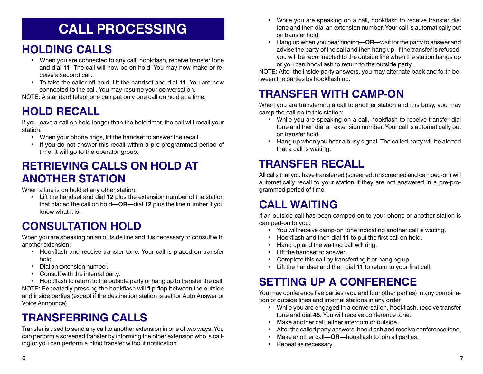# **CALL PROCESSING**

#### **HOLDING CALLS**

- When you are connected to any call, hookflash, receive transfer tone and dial **11**. The call will now be on hold. You may now make or receive a second call.
- To take the caller off hold, lift the handset and dial **11**. You are now connected to the call. You may resume your conversation.

NOTE: A standard telephone can put only one call on hold at a time.

#### **HOLD RECALL**

If you leave a call on hold longer than the hold timer, the call will recall your station.

- When your phone rings, lift the handset to answer the recall.
- If you do not answer this recall within a pre-programmed period of time, it will go to the operator group.

#### **RETRIEVING CALLS ON HOLD AT ANOTHER STATION**

When a line is on hold at any other station:

• Lift the handset and dial **12** plus the extension number of the station that placed the call on hold**—OR—**dial **12** plus the line number if you know what it is.

#### **CONSULTATION HOLD**

When you are speaking on an outside line and it is necessary to consult with another extension:

- Hookflash and receive transfer tone. Your call is placed on transfer hold.
- Dial an extension number.
- •Consult with the internal party.

• Hookflash to return to the outside party or hang up to transfer the call. NOTE: Repeatedly pressing the hookflash will flip-flop between the outside and inside parties (except if the destination station is set for Auto Answer or Voice Announce).

#### **TRANSFERRING CALLS**

Transfer is used to send any call to another extension in one of two ways. You can perform a screened transfer by informing the other extension who is calling or you can perform a blind transfer without notification.

- While you are speaking on a call, hookflash to receive transfer dial tone and then dial an extension number. Your call is automatically put on transfer hold.
- Hang up when you hear ringing**—OR—**wait for the party to answer and advise the party of the call and then hang up. If the transfer is refused, you will be reconnected to the outside line when the station hangs up or you can hookflash to return to the outside party.

NOTE: After the inside party answers, you may alternate back and forth between the parties by hookflashing.

#### **TRANSFER WITH CAMP-ON**

When you are transferring a call to another station and it is busy, you may camp the call on to this station:

- While you are speaking on a call, hookflash to receive transfer dial tone and then dial an extension number. Your call is automatically put on transfer hold.
- Hang up when you hear a busy signal. The called party will be alerted that a call is waiting.

#### **TRANSFER RECALL**

All calls that you have transferred (screened, unscreened and camped-on) will automatically recall to your station if they are not answered in a pre-programmed period of time.

#### **CALL WAITING**

If an outside call has been camped-on to your phone or another station is camped-on to you:

- You will receive camp-on tone indicating another call is waiting.
- Hookflash and then dial **11** to put the first call on hold.
- •Hang up and the waiting call will ring.
- Lift the handset to answer.
- •Complete this call by transferring it or hanging up.
- Lift the handset and then dial **11** to return to your first call.

#### **SETTING UP A CONFERENCE**

You may conference five parties (you and four other parties) in any combination of outside lines and internal stations in any order.

- While you are engaged in a conversation, hookflash, receive transfer tone and dial **46**. You will receive conference tone.
- Make another call, either intercom or outside.
- •After the called party answers, hookflash and receive conference tone.
- •Make another call**—OR—**hookflash to join all parties.
- •Repeat as necessary.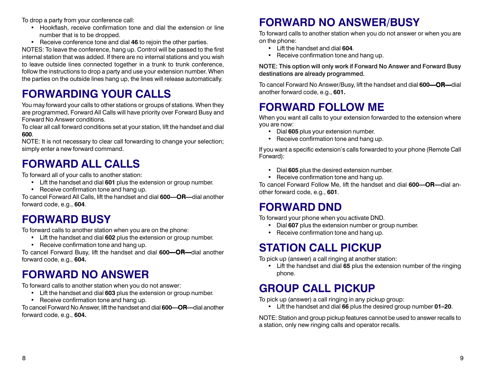To drop a party from your conference call:

- Hookflash, receive confirmation tone and dial the extension or line number that is to be dropped.
- Receive conference tone and dial **46** to rejoin the other parties.

NOTES: To leave the conference, hang up. Control will be passed to the first internal station that was added. If there are no internal stations and you wish to leave outside lines connected together in a trunk to trunk conference, follow the instructions to drop a party and use your extension number. When the parties on the outside lines hang up, the lines will release automatically.

#### **FORWARDING YOUR CALLS**

You may forward your calls to other stations or groups of stations. When they are programmed, Forward All Calls will have priority over Forward Busy and Forward No Answer conditions.

To clear all call forward conditions set at your station, lift the handset and dial **600**.

NOTE: It is not necessary to clear call forwarding to change your selection; simply enter a new forward command.

#### **FORWARD ALL CALLS**

To forward all of your calls to another station:

- Lift the handset and dial **601** plus the extension or group number.
- Receive confirmation tone and hang up.

To cancel Forward All Calls, lift the handset and dial **600**—OR—dial another forward code, e.g., **604**.

#### **FORWARD BUSY**

To forward calls to another station when you are on the phone:

- Lift the handset and dial **602** plus the extension or group number.
- Receive confirmation tone and hang up.

To cancel Forward Busy, lift the handset and dial **600**—OR—dial another forward code, e.g., **604.**

#### **FORWARD NO ANSWER**

To forward calls to another station when you do not answer:

- Lift the handset and dial **603** plus the extension or group number.
- Receive confirmation tone and hang up.

To cancel Forward No Answer, lift the handset and dial **600**—OR—dial another forward code, e.g., **604.**

#### **FORWARD NO ANSWER/BUSY**

To forward calls to another station when you do not answer or when you are on the phone:

- Lift the handset and dial **604**.
- Receive confirmation tone and hang up.

NOTE: This option will only work if Forward No Answer and Forward Busy destinations are already programmed.

To cancel Forward No Answer/Busy, lift the handset and dial **600**—OR—dial another forward code, e.g., **601.**

#### **FORWARD FOLLOW ME**

When you want all calls to your extension forwarded to the extension where you are now:

- Dial **605** plus your extension number.
- Receive confirmation tone and hang up.

If you want a specific extension's calls forwarded to your phone (Remote Call Forward):

- Dial **605** plus the desired extension number.
- Receive confirmation tone and hang up.

To cancel Forward Follow Me, lift the handset and dial **600**—OR—dial another forward code, e.g., **601**.

#### **FORWARD DND**

To forward your phone when you activate DND.

- Dial **607** plus the extension number or group number.
- Receive confirmation tone and hang up.

#### **STATION CALL PICKUP**

To pick up (answer) a call ringing at another station:

• Lift the handset and dial **65** plus the extension number of the ringing phone.

#### **GROUP CALL PICKUP**

To pick up (answer) a call ringing in any pickup group:

• Lift the handset and dial **66** plus the desired group number **01–20**.

NOTE: Station and group pickup features cannot be used to answer recalls to a station, only new ringing calls and operator recalls.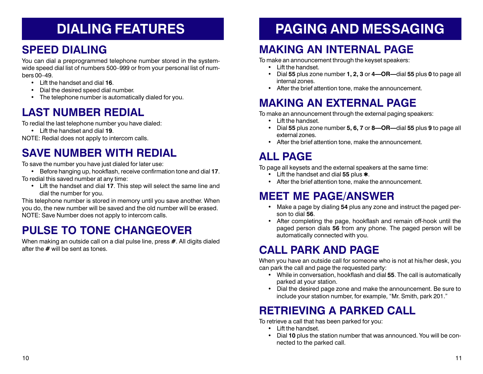# **DIALING FEATURES**

#### **SPEED DIALING**

You can dial a preprogrammed telephone number stored in the systemwide speed dial list of numbers 500–999 or from your personal list of numbers 00–49.

- Lift the handset and dial **16**.
- Dial the desired speed dial number.
- The telephone number is automatically dialed for you.

#### **LAST NUMBER REDIAL**

To redial the last telephone number you have dialed:

- Lift the handset and dial **19**.
- NOTE: Redial does not apply to intercom calls.

## **SAVE NUMBER WITH REDIAL**

To save the number you have just dialed for later use:

- Before hanging up, hookflash, receive confirmation tone and dial **17**. To redial this saved number at any time:
	- Lift the handset and dial **17**. This step will select the same line and dial the number for you.

This telephone number is stored in memory until you save another. When you do, the new number will be saved and the old number will be erased. NOTE: Save Number does not apply to intercom calls.

#### **PULSE TO TONE CHANGEOVER**

When making an outside call on a dial pulse line, press **#**. All digits dialed after the **#** will be sent as tones.

# **PAGING AND MESSAGING**

#### **MAKING AN INTERNAL PAGE**

To make an announcement through the keyset speakers:

- Lift the handset.
- Dial **55** plus zone number **1, 2, 3** or **4—OR—**dial **55** plus **0** to page all internal zones.
- After the brief attention tone, make the announcement.

#### **MAKING AN EXTERNAL PAGE**

To make an announcement through the external paging speakers:

- Lift the handset.
- Dial **55** plus zone number **5, 6, 7** or **8—OR—**dial **55** plus **9** to page all external zones.
- After the brief attention tone, make the announcement.

#### **ALL PAGE**

To page all keysets and the external speakers at the same time:

- Lift the handset and dial  $55$  plus  $\ast$ .
- After the brief attention tone, make the announcement.

#### **MEET ME PAGE/ANSWER**

- Make a page by dialing **54** plus any zone and instruct the paged person to dial **56**.
- After completing the page, hookflash and remain off-hook until the paged person dials **56** from any phone. The paged person will be automatically connected with you.

#### **CALL PARK AND PAGE**

When you have an outside call for someone who is not at his/her desk, you can park the call and page the requested party:

- While in conversation, hookflash and dial **55**. The call is automatically parked at your station.
- Dial the desired page zone and make the announcement. Be sure to include your station number, for example, "Mr. Smith, park 201."

#### **RETRIEVING A PARKED CALL**

To retrieve a call that has been parked for you:

- Lift the handset.
- Dial **10** plus the station number that was announced. You will be connected to the parked call.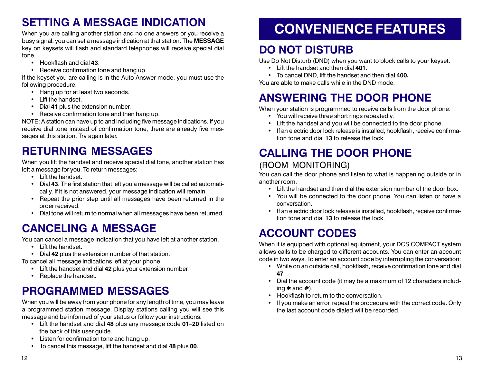#### **SETTING A MESSAGE INDICATION**

When you are calling another station and no one answers or you receive a busy signal, you can set a message indication at that station. The **MESSAGE** key on keysets will flash and standard telephones will receive special dial tone.

- Hookflash and dial **43**.
- Receive confirmation tone and hang up.

If the keyset you are calling is in the Auto Answer mode, you must use the following procedure:

- Hang up for at least two seconds.
- Lift the handset.
- Dial **41** plus the extension number.
- Receive confirmation tone and then hang up.

NOTE: A station can have up to and including five message indications. If you receive dial tone instead of confirmation tone, there are already five messages at this station. Try again later.

## **RETURNING MESSAGES**

When you lift the handset and receive special dial tone, another station has left a message for you. To return messages:

- Lift the handset.
- Dial **43**. The first station that left you a message will be called automatically. If it is not answered, your message indication will remain.
- Repeat the prior step until all messages have been returned in the order received.
- Dial tone will return to normal when all messages have been returned.

#### **CANCELING A MESSAGE**

You can cancel a message indication that you have left at another station.

- Lift the handset.
- Dial **42** plus the extension number of that station.

To cancel all message indications left at your phone:

- Lift the handset and dial **42** plus your extension number.
- Replace the handset.

#### **PROGRAMMED MESSAGES**

When you will be away from your phone for any length of time, you may leave a programmed station message. Display stations calling you will see this message and be informed of your status or follow your instructions.

- Lift the handset and dial **48** plus any message code **01** –**20** listed on the back of this user guide.
- Listen for confirmation tone and hang up.
- To cancel this message, lift the handset and dial **48** plus **00**.

# **CONVENIENCE FEATURES**

#### **DO NOT DISTURB**

Use Do Not Disturb (DND) when you want to block calls to your keyset.

- Lift the handset and then dial **401**.
- To cancel DND, lift the handset and then dial **400.**

You are able to make calls while in the DND mode.

## **ANSWERING THE DOOR PHONE**

When your station is programmed to receive calls from the door phone:

- You will receive three short rings repeatedly.
- Lift the handset and you will be connected to the door phone.
- If an electric door lock release is installed, hookflash, receive confirmation tone and dial **13** to release the lock.

#### **CALLING THE DOOR PHONE** (ROOM MONITORING)

You can call the door phone and listen to what is happening outside or in another room.

- Lift the handset and then dial the extension number of the door box.
- You will be connected to the door phone. You can listen or have a conversation.
- If an electric door lock release is installed, hookflash, receive confirmation tone and dial **13** to release the lock.

#### **ACCOUNT CODES**

When it is equipped with optional equipment, your DCS COMPACT system allows calls to be charged to different accounts. You can enter an account code in two ways. To enter an account code by interrupting the conversation:

- While on an outside call, hookflash, receive confirmation tone and dial **47**.
- Dial the account code (it may be a maximum of 12 characters including 4 and **#**).
- Hookflash to return to the conversation.
- If you make an error, repeat the procedure with the correct code. Only the last account code dialed will be recorded.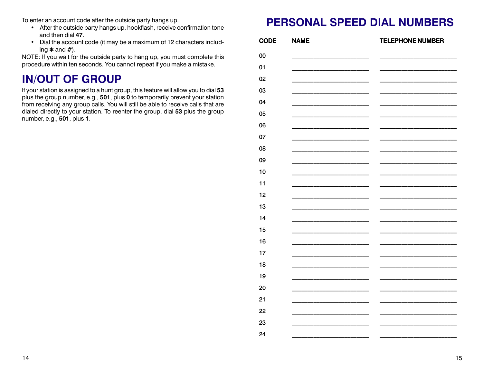To enter an account code after the outside party hangs up.

- After the outside party hangs up, hookflash, receive confirmation tone and then dial **47**.
- Dial the account code (it may be a maximum of 12 characters including  $*$  and  $#$ ).

NOTE: If you wait for the outside party to hang up, you must complete this procedure within ten seconds. You cannot repeat if you make a mistake.

#### **IN/OUT OF GROUP**

If your station is assigned to a hunt group, this feature will allow you to dial **53** plus the group number, e.g., **501**, plus **0** to temporarily prevent your station from receiving any group calls. You will still be able to receive calls that are dialed directly to your station. To reenter the group, dial **53** plus the group number, e.g., **501**, plus **1**.

#### **PERSONAL SPEED DIAL NUMBERS**

| <b>CODE</b> | <b>NAME</b> | <b>TELEPHONE NUMBER</b> |
|-------------|-------------|-------------------------|
| 00          |             |                         |
| 01          |             |                         |
| 02          |             |                         |
| 03          |             |                         |
| 04          |             |                         |
| 05          |             |                         |
| 06          |             |                         |
| 07          |             |                         |
| 08          |             |                         |
| 09          |             |                         |
| 10          |             |                         |
| 11          |             |                         |
| 12          |             |                         |
| 13          |             |                         |
| 14          |             |                         |
| 15          |             |                         |
| 16          |             |                         |
| 17          |             |                         |
| 18          |             |                         |
| 19          |             |                         |
| 20          |             |                         |
| 21          |             |                         |
| 22          |             |                         |
| 23          |             |                         |
| 24          |             |                         |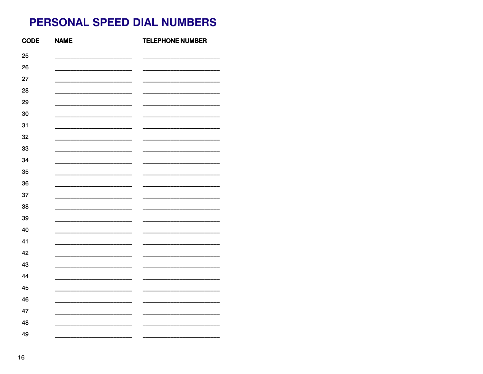#### PERSONAL SPEED DIAL NUMBERS

| <b>CODE</b> | <b>NAME</b> | <b>TELEPHONE NUMBER</b> |
|-------------|-------------|-------------------------|
| 25          |             |                         |
| 26          |             |                         |
| 27          |             |                         |
| 28          |             |                         |
| 29          |             |                         |
| 30          |             |                         |
| 31          |             |                         |
| 32          |             |                         |
| 33          |             |                         |
| 34          |             |                         |
| 35          |             |                         |
| 36          |             |                         |
| 37          |             |                         |
| 38          |             |                         |
| 39          |             |                         |
| 40          |             |                         |
| 41          |             |                         |
| 42          |             |                         |
| 43          |             |                         |
| 44          |             |                         |
| 45          |             |                         |
| 46          |             |                         |
| 47          |             |                         |
| 48          |             |                         |
| 49          |             |                         |
|             |             |                         |